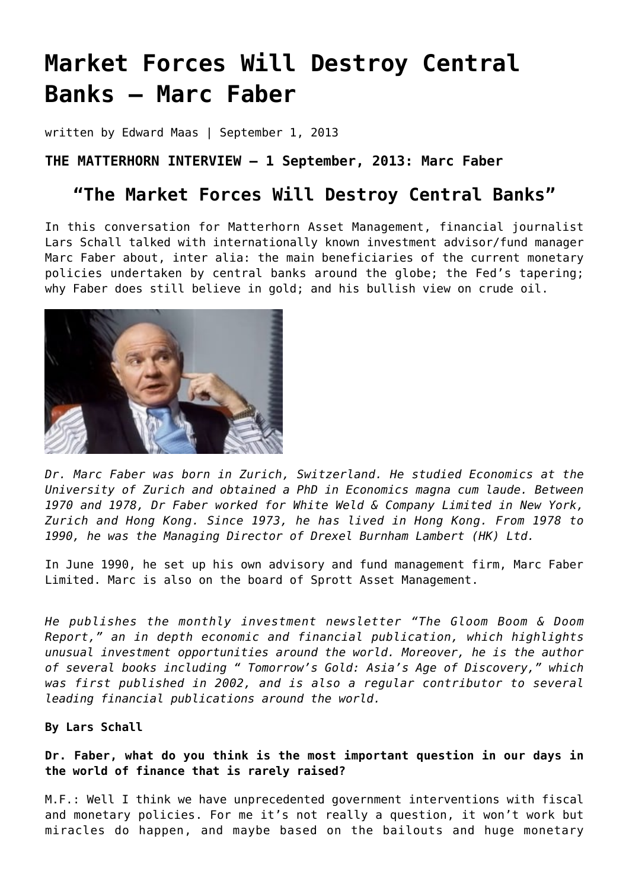# **[Market Forces Will Destroy Central](https://goldswitzerland.com/market-forces-will-destroy-central-banks-marc-faber/) [Banks – Marc Faber](https://goldswitzerland.com/market-forces-will-destroy-central-banks-marc-faber/)**

written by Edward Maas | September 1, 2013

### **THE MATTERHORN INTERVIEW – 1 September, 2013: Marc Faber**

## **"The Market Forces Will Destroy Central Banks"**

In this conversation for Matterhorn Asset Management, financial journalist Lars Schall talked with internationally known investment advisor/fund manager Marc Faber about, inter alia: the main beneficiaries of the current monetary policies undertaken by central banks around the globe; the Fed's tapering; why Faber does still believe in gold; and his bullish view on crude oil.



*Dr. Marc Faber was born in Zurich, Switzerland. He studied Economics at the University of Zurich and obtained a PhD in Economics magna cum laude. Between 1970 and 1978, Dr Faber worked for White Weld & Company Limited in New York, Zurich and Hong Kong. Since 1973, he has lived in Hong Kong. From 1978 to 1990, he was the Managing Director of Drexel Burnham Lambert (HK) Ltd.*

In June 1990, he set up his own advisory and fund management firm, Marc Faber Limited. Marc is also on the board of Sprott Asset Management.

*He publishes the monthly investment newsletter "[The Gloom Boom & Doom](http://new.gloomboomdoom.com/portalgbd/homegbd.cfm) [Report,](http://new.gloomboomdoom.com/portalgbd/homegbd.cfm)" an in depth economic and financial publication, which highlights unusual investment opportunities around the world. Moreover, he is the author of several books including " Tomorrow's Gold: Asia's Age of Discovery," which was first published in 2002, and is also a regular contributor to several leading financial publications around the world.*

#### **By Lars Schall**

**Dr. Faber, what do you think is the most important question in our days in the world of finance that is rarely raised?**

M.F.: Well I think we have unprecedented government interventions with fiscal and monetary policies. For me it's not really a question, it won't work but miracles do happen, and maybe based on the bailouts and huge monetary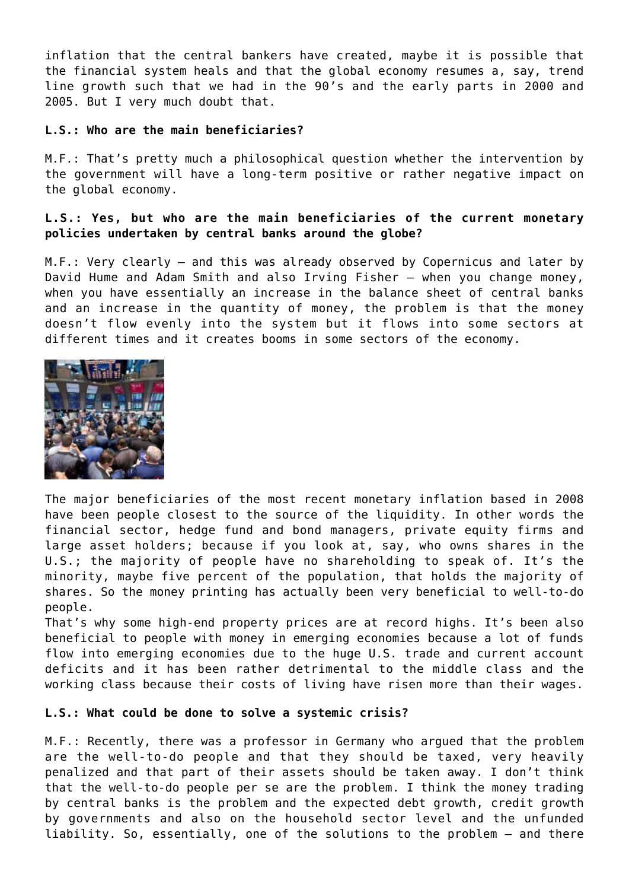inflation that the central bankers have created, maybe it is possible that the financial system heals and that the global economy resumes a, say, trend line growth such that we had in the 90's and the early parts in 2000 and 2005. But I very much doubt that.

#### **L.S.: Who are the main beneficiaries?**

M.F.: That's pretty much a philosophical question whether the intervention by the government will have a long-term positive or rather negative impact on the global economy.

#### **L.S.: Yes, but who are the main beneficiaries of the current monetary policies undertaken by central banks around the globe?**

M.F.: Very clearly – and this was already observed by Copernicus and later by David Hume and Adam Smith and also Irving Fisher – when you change money, when you have essentially an increase in the balance sheet of central banks and an increase in the quantity of money, the problem is that the money doesn't flow evenly into the system but it flows into some sectors at different times and it creates booms in some sectors of the economy.



The major beneficiaries of the most recent monetary inflation based in 2008 have been people closest to the source of the liquidity. In other words the financial sector, hedge fund and bond managers, private equity firms and large asset holders; because if you look at, say, who owns shares in the U.S.; the majority of people have no shareholding to speak of. It's the minority, maybe five percent of the population, that holds the majority of shares. So the money printing has actually been very beneficial to well-to-do people.

That's why some high-end property prices are at record highs. It's been also beneficial to people with money in emerging economies because a lot of funds flow into emerging economies due to the huge U.S. trade and current account deficits and it has been rather detrimental to the middle class and the working class because their costs of living have risen more than their wages.

#### **L.S.: What could be done to solve a systemic crisis?**

M.F.: Recently, there was a professor in Germany who argued that the problem are the well-to-do people and that they should be taxed, very heavily penalized and that part of their assets should be taken away. I don't think that the well-to-do people per se are the problem. I think the money trading by central banks is the problem and the expected debt growth, credit growth by governments and also on the household sector level and the unfunded liability. So, essentially, one of the solutions to the problem – and there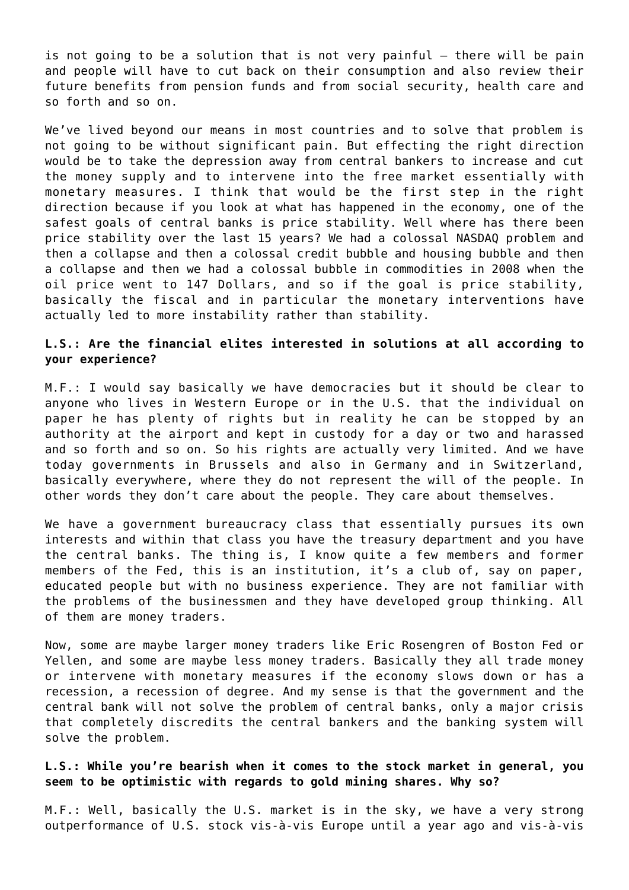is not going to be a solution that is not very painful – there will be pain and people will have to cut back on their consumption and also review their future benefits from pension funds and from social security, health care and so forth and so on.

We've lived beyond our means in most countries and to solve that problem is not going to be without significant pain. But effecting the right direction would be to take the depression away from central bankers to increase and cut the money supply and to intervene into the free market essentially with monetary measures. I think that would be the first step in the right direction because if you look at what has happened in the economy, one of the safest goals of central banks is price stability. Well where has there been price stability over the last 15 years? We had a colossal NASDAQ problem and then a collapse and then a colossal credit bubble and housing bubble and then a collapse and then we had a colossal bubble in commodities in 2008 when the oil price went to 147 Dollars, and so if the goal is price stability, basically the fiscal and in particular the monetary interventions have actually led to more instability rather than stability.

#### **L.S.: Are the financial elites interested in solutions at all according to your experience?**

M.F.: I would say basically we have democracies but it should be clear to anyone who lives in Western Europe or in the U.S. that the individual on paper he has plenty of rights but in reality he can be stopped by an authority at the airport and kept in custody for a day or two and harassed and so forth and so on. So his rights are actually very limited. And we have today governments in Brussels and also in Germany and in Switzerland, basically everywhere, where they do not represent the will of the people. In other words they don't care about the people. They care about themselves.

We have a government bureaucracy class that essentially pursues its own interests and within that class you have the treasury department and you have the central banks. The thing is, I know quite a few members and former members of the Fed, this is an institution, it's a club of, say on paper, educated people but with no business experience. They are not familiar with the problems of the businessmen and they have developed group thinking. All of them are money traders.

Now, some are maybe larger money traders like Eric Rosengren of Boston Fed or Yellen, and some are maybe less money traders. Basically they all trade money or intervene with monetary measures if the economy slows down or has a recession, a recession of degree. And my sense is that the government and the central bank will not solve the problem of central banks, only a major crisis that completely discredits the central bankers and the banking system will solve the problem.

#### **L.S.: While you're bearish when it comes to the stock market in general, you seem to be optimistic with regards to gold mining shares. Why so?**

M.F.: Well, basically the U.S. market is in the sky, we have a very strong outperformance of U.S. stock vis-à-vis Europe until a year ago and vis-à-vis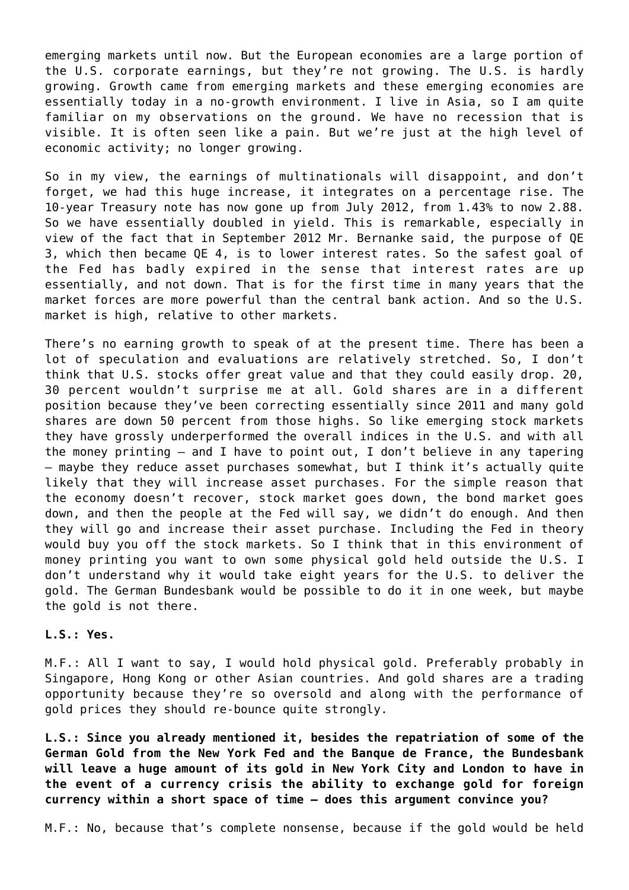emerging markets until now. But the European economies are a large portion of the U.S. corporate earnings, but they're not growing. The U.S. is hardly growing. Growth came from emerging markets and these emerging economies are essentially today in a no-growth environment. I live in Asia, so I am quite familiar on my observations on the ground. We have no recession that is visible. It is often seen like a pain. But we're just at the high level of economic activity; no longer growing.

So in my view, the earnings of multinationals will disappoint, and don't forget, we had this huge increase, it integrates on a percentage rise. The 10-year Treasury note has now gone up from July 2012, from 1.43% to now 2.88. So we have essentially doubled in yield. This is remarkable, especially in view of the fact that in September 2012 Mr. Bernanke said, the purpose of QE 3, which then became QE 4, is to lower interest rates. So the safest goal of the Fed has badly expired in the sense that interest rates are up essentially, and not down. That is for the first time in many years that the market forces are more powerful than the central bank action. And so the U.S. market is high, relative to other markets.

There's no earning growth to speak of at the present time. There has been a lot of speculation and evaluations are relatively stretched. So, I don't think that U.S. stocks offer great value and that they could easily drop. 20, 30 percent wouldn't surprise me at all. Gold shares are in a different position because they've been correcting essentially since 2011 and many gold shares are down 50 percent from those highs. So like emerging stock markets they have grossly underperformed the overall indices in the U.S. and with all the money printing – and I have to point out, I don't believe in any tapering – maybe they reduce asset purchases somewhat, but I think it's actually quite likely that they will increase asset purchases. For the simple reason that the economy doesn't recover, stock market goes down, the bond market goes down, and then the people at the Fed will say, we didn't do enough. And then they will go and increase their asset purchase. Including the Fed in theory would buy you off the stock markets. So I think that in this environment of money printing you want to own some physical gold held outside the U.S. I don't understand why it would take eight years for the U.S. to deliver the gold. The German Bundesbank would be possible to do it in one week, but maybe the gold is not there.

#### **L.S.: Yes.**

M.F.: All I want to say, I would hold physical gold. Preferably probably in Singapore, Hong Kong or other Asian countries. And gold shares are a trading opportunity because they're so oversold and along with the performance of gold prices they should re-bounce quite strongly.

**L.S.: Since you already mentioned it, besides the repatriation of some of the German Gold from the New York Fed and the Banque de France, the Bundesbank will leave a huge amount of its gold in New York City and London to have in the event of a currency crisis the ability to exchange gold for foreign currency within a short space of time – does this argument convince you?**

M.F.: No, because that's complete nonsense, because if the gold would be held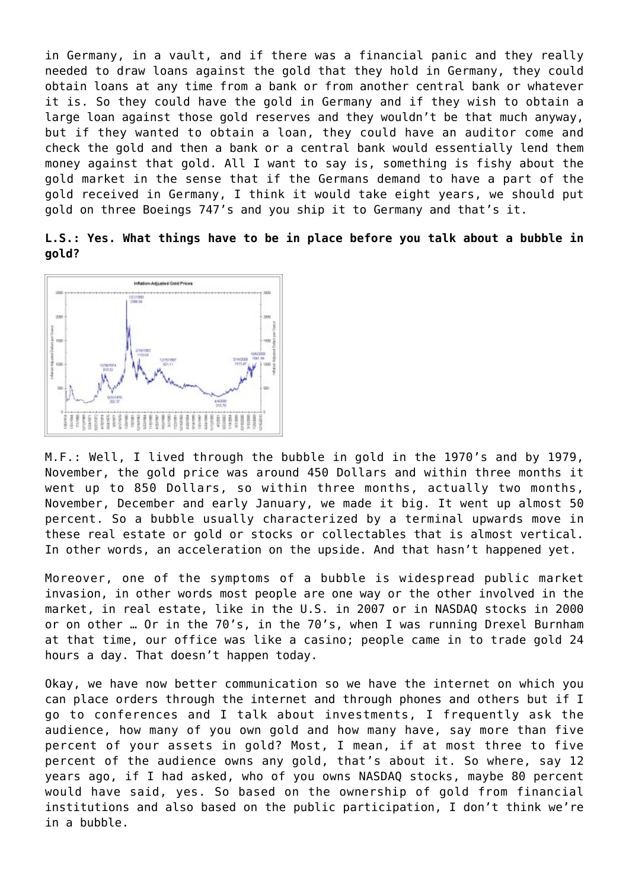in Germany, in a vault, and if there was a financial panic and they really needed to draw loans against the gold that they hold in Germany, they could obtain loans at any time from a bank or from another central bank or whatever it is. So they could have the gold in Germany and if they wish to obtain a large loan against those gold reserves and they wouldn't be that much anyway, but if they wanted to obtain a loan, they could have an auditor come and check the gold and then a bank or a central bank would essentially lend them money against that gold. All I want to say is, something is fishy about the gold market in the sense that if the Germans demand to have a part of the gold received in Germany, I think it would take eight years, we should put gold on three Boeings 747's and you ship it to Germany and that's it.

|       |  |  |  |  |  |  | L.S.: Yes. What things have to be in place before you talk about a bubble in |  |
|-------|--|--|--|--|--|--|------------------------------------------------------------------------------|--|
| gold? |  |  |  |  |  |  |                                                                              |  |



M.F.: Well, I lived through the bubble in gold in the 1970's and by 1979, November, the gold price was around 450 Dollars and within three months it went up to 850 Dollars, so within three months, actually two months, November, December and early January, we made it big. It went up almost 50 percent. So a bubble usually characterized by a terminal upwards move in these real estate or gold or stocks or collectables that is almost vertical. In other words, an acceleration on the upside. And that hasn't happened yet.

Moreover, one of the symptoms of a bubble is widespread public market invasion, in other words most people are one way or the other involved in the market, in real estate, like in the U.S. in 2007 or in NASDAQ stocks in 2000 or on other … Or in the 70's, in the 70's, when I was running Drexel Burnham at that time, our office was like a casino; people came in to trade gold 24 hours a day. That doesn't happen today.

Okay, we have now better communication so we have the internet on which you can place orders through the internet and through phones and others but if I go to conferences and I talk about investments, I frequently ask the audience, how many of you own gold and how many have, say more than five percent of your assets in gold? Most, I mean, if at most three to five percent of the audience owns any gold, that's about it. So where, say 12 years ago, if I had asked, who of you owns NASDAQ stocks, maybe 80 percent would have said, yes. So based on the ownership of gold from financial institutions and also based on the public participation, I don't think we're in a bubble.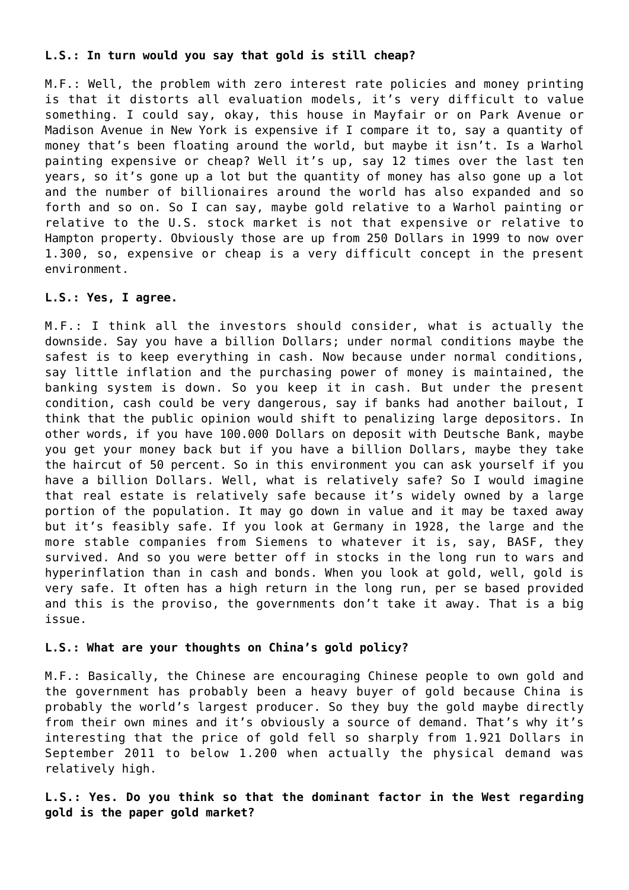#### **L.S.: In turn would you say that gold is still cheap?**

M.F.: Well, the problem with zero interest rate policies and money printing is that it distorts all evaluation models, it's very difficult to value something. I could say, okay, this house in Mayfair or on Park Avenue or Madison Avenue in New York is expensive if I compare it to, say a quantity of money that's been floating around the world, but maybe it isn't. Is a Warhol painting expensive or cheap? Well it's up, say 12 times over the last ten years, so it's gone up a lot but the quantity of money has also gone up a lot and the number of billionaires around the world has also expanded and so forth and so on. So I can say, maybe gold relative to a Warhol painting or relative to the U.S. stock market is not that expensive or relative to Hampton property. Obviously those are up from 250 Dollars in 1999 to now over 1.300, so, expensive or cheap is a very difficult concept in the present environment.

#### **L.S.: Yes, I agree.**

M.F.: I think all the investors should consider, what is actually the downside. Say you have a billion Dollars; under normal conditions maybe the safest is to keep everything in cash. Now because under normal conditions, say little inflation and the purchasing power of money is maintained, the banking system is down. So you keep it in cash. But under the present condition, cash could be very dangerous, say if banks had another bailout, I think that the public opinion would shift to penalizing large depositors. In other words, if you have 100.000 Dollars on deposit with Deutsche Bank, maybe you get your money back but if you have a billion Dollars, maybe they take the haircut of 50 percent. So in this environment you can ask yourself if you have a billion Dollars. Well, what is relatively safe? So I would imagine that real estate is relatively safe because it's widely owned by a large portion of the population. It may go down in value and it may be taxed away but it's feasibly safe. If you look at Germany in 1928, the large and the more stable companies from Siemens to whatever it is, say, BASF, they survived. And so you were better off in stocks in the long run to wars and hyperinflation than in cash and bonds. When you look at gold, well, gold is very safe. It often has a high return in the long run, per se based provided and this is the proviso, the governments don't take it away. That is a big issue.

#### **L.S.: What are your thoughts on China's gold policy?**

M.F.: Basically, the Chinese are encouraging Chinese people to own gold and the government has probably been a heavy buyer of gold because China is probably the world's largest producer. So they buy the gold maybe directly from their own mines and it's obviously a source of demand. That's why it's interesting that the price of gold fell so sharply from 1.921 Dollars in September 2011 to below 1.200 when actually the physical demand was relatively high.

**L.S.: Yes. Do you think so that the dominant factor in the West regarding gold is the paper gold market?**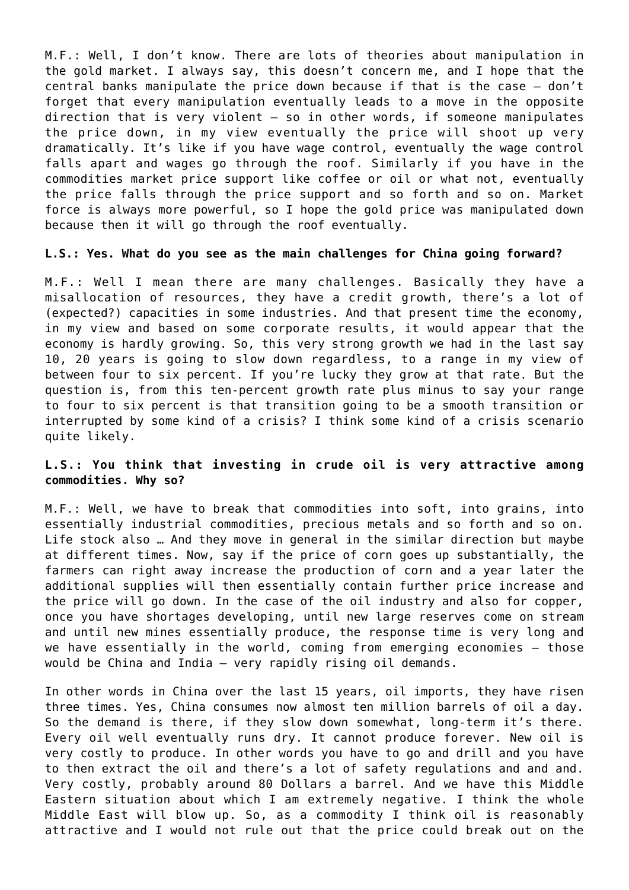M.F.: Well, I don't know. There are lots of theories about manipulation in the gold market. I always say, this doesn't concern me, and I hope that the central banks manipulate the price down because if that is the case – don't forget that every manipulation eventually leads to a move in the opposite direction that is very violent – so in other words, if someone manipulates the price down, in my view eventually the price will shoot up very dramatically. It's like if you have wage control, eventually the wage control falls apart and wages go through the roof. Similarly if you have in the commodities market price support like coffee or oil or what not, eventually the price falls through the price support and so forth and so on. Market force is always more powerful, so I hope the gold price was manipulated down because then it will go through the roof eventually.

#### **L.S.: Yes. What do you see as the main challenges for China going forward?**

M.F.: Well I mean there are many challenges. Basically they have a misallocation of resources, they have a credit growth, there's a lot of (expected?) capacities in some industries. And that present time the economy, in my view and based on some corporate results, it would appear that the economy is hardly growing. So, this very strong growth we had in the last say 10, 20 years is going to slow down regardless, to a range in my view of between four to six percent. If you're lucky they grow at that rate. But the question is, from this ten-percent growth rate plus minus to say your range to four to six percent is that transition going to be a smooth transition or interrupted by some kind of a crisis? I think some kind of a crisis scenario quite likely.

#### **L.S.: You think that investing in crude oil is very attractive among commodities. Why so?**

M.F.: Well, we have to break that commodities into soft, into grains, into essentially industrial commodities, precious metals and so forth and so on. Life stock also … And they move in general in the similar direction but maybe at different times. Now, say if the price of corn goes up substantially, the farmers can right away increase the production of corn and a year later the additional supplies will then essentially contain further price increase and the price will go down. In the case of the oil industry and also for copper, once you have shortages developing, until new large reserves come on stream and until new mines essentially produce, the response time is very long and we have essentially in the world, coming from emerging economies – those would be China and India – very rapidly rising oil demands.

In other words in China over the last 15 years, oil imports, they have risen three times. Yes, China consumes now almost ten million barrels of oil a day. So the demand is there, if they slow down somewhat, long-term it's there. Every oil well eventually runs dry. It cannot produce forever. New oil is very costly to produce. In other words you have to go and drill and you have to then extract the oil and there's a lot of safety regulations and and and. Very costly, probably around 80 Dollars a barrel. And we have this Middle Eastern situation about which I am extremely negative. I think the whole Middle East will blow up. So, as a commodity I think oil is reasonably attractive and I would not rule out that the price could break out on the